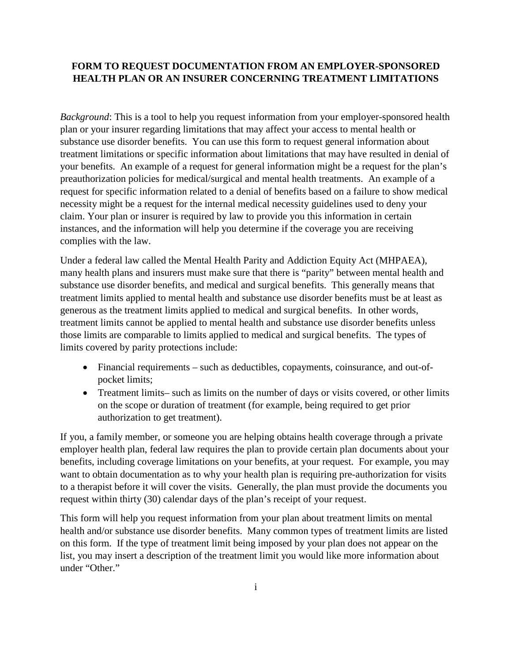## **FORM TO REQUEST DOCUMENTATION FROM AN EMPLOYER-SPONSORED HEALTH PLAN OR AN INSURER CONCERNING TREATMENT LIMITATIONS**

*Background*: This is a tool to help you request information from your employer-sponsored health plan or your insurer regarding limitations that may affect your access to mental health or substance use disorder benefits. You can use this form to request general information about treatment limitations or specific information about limitations that may have resulted in denial of your benefits. An example of a request for general information might be a request for the plan's preauthorization policies for medical/surgical and mental health treatments. An example of a request for specific information related to a denial of benefits based on a failure to show medical necessity might be a request for the internal medical necessity guidelines used to deny your claim. Your plan or insurer is required by law to provide you this information in certain instances, and the information will help you determine if the coverage you are receiving complies with the law.

Under a federal law called the Mental Health Parity and Addiction Equity Act (MHPAEA), many health plans and insurers must make sure that there is "parity" between mental health and substance use disorder benefits, and medical and surgical benefits. This generally means that treatment limits applied to mental health and substance use disorder benefits must be at least as generous as the treatment limits applied to medical and surgical benefits. In other words, treatment limits cannot be applied to mental health and substance use disorder benefits unless those limits are comparable to limits applied to medical and surgical benefits. The types of limits covered by parity protections include:

- Financial requirements such as deductibles, copayments, coinsurance, and out-ofpocket limits;
- Treatment limits– such as limits on the number of days or visits covered, or other limits on the scope or duration of treatment (for example, being required to get prior authorization to get treatment).

If you, a family member, or someone you are helping obtains health coverage through a private employer health plan, federal law requires the plan to provide certain plan documents about your benefits, including coverage limitations on your benefits, at your request. For example, you may want to obtain documentation as to why your health plan is requiring pre-authorization for visits to a therapist before it will cover the visits. Generally, the plan must provide the documents you request within thirty (30) calendar days of the plan's receipt of your request.

This form will help you request information from your plan about treatment limits on mental health and/or substance use disorder benefits. Many common types of treatment limits are listed on this form. If the type of treatment limit being imposed by your plan does not appear on the list, you may insert a description of the treatment limit you would like more information about under "Other."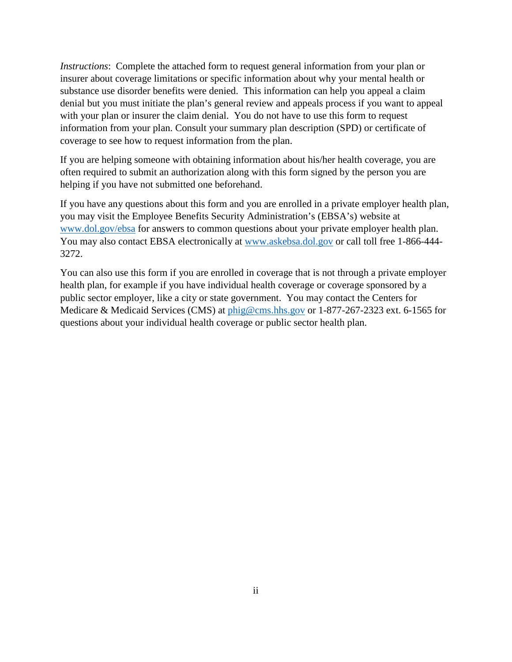*Instructions*: Complete the attached form to request general information from your plan or insurer about coverage limitations or specific information about why your mental health or substance use disorder benefits were denied. This information can help you appeal a claim denial but you must initiate the plan's general review and appeals process if you want to appeal with your plan or insurer the claim denial. You do not have to use this form to request information from your plan. Consult your summary plan description (SPD) or certificate of coverage to see how to request information from the plan.

If you are helping someone with obtaining information about his/her health coverage, you are often required to submit an authorization along with this form signed by the person you are helping if you have not submitted one beforehand.

If you have any questions about this form and you are enrolled in a private employer health plan, you may visit the Employee Benefits Security Administration's (EBSA's) website at [www.dol.gov/ebsa](http://www.dol.gov/ebsa) for answers to common questions about your private employer health plan. You may also contact EBSA electronically at [www.askebsa.dol.gov](http://www.askebsa.dol.gov/) or call toll free 1-866-444- 3272.

You can also use this form if you are enrolled in coverage that is not through a private employer health plan, for example if you have individual health coverage or coverage sponsored by a public sector employer, like a city or state government. You may contact the Centers for Medicare & Medicaid Services (CMS) at [phig@cms.hhs.gov](mailto:phig@cms.hhs.gov) or 1-877-267-2323 ext. 6-1565 for questions about your individual health coverage or public sector health plan.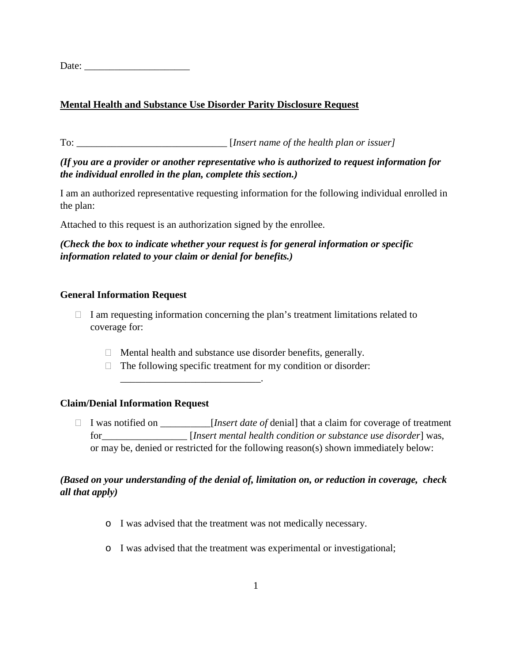Date:

# **Mental Health and Substance Use Disorder Parity Disclosure Request**

To: \_\_\_\_\_\_\_\_\_\_\_\_\_\_\_\_\_\_\_\_\_\_\_\_\_\_\_\_\_\_ [*Insert name of the health plan or issuer]*

## *(If you are a provider or another representative who is authorized to request information for the individual enrolled in the plan, complete this section.)*

I am an authorized representative requesting information for the following individual enrolled in the plan:

Attached to this request is an authorization signed by the enrollee.

\_\_\_\_\_\_\_\_\_\_\_\_\_\_\_\_\_\_\_\_\_\_\_\_\_\_\_\_.

## *(Check the box to indicate whether your request is for general information or specific information related to your claim or denial for benefits.)*

#### **General Information Request**

- $\Box$  I am requesting information concerning the plan's treatment limitations related to coverage for:
	- $\Box$  Mental health and substance use disorder benefits, generally.
	- $\Box$  The following specific treatment for my condition or disorder:

## **Claim/Denial Information Request**

 I was notified on \_\_\_\_\_\_\_\_\_\_[*Insert date of* denial] that a claim for coverage of treatment for\_\_\_\_\_\_\_\_\_\_\_\_\_\_\_\_\_ [*Insert mental health condition or substance use disorder*] was, or may be, denied or restricted for the following reason(s) shown immediately below:

## *(Based on your understanding of the denial of, limitation on, or reduction in coverage, check all that apply)*

- o I was advised that the treatment was not medically necessary.
- o I was advised that the treatment was experimental or investigational;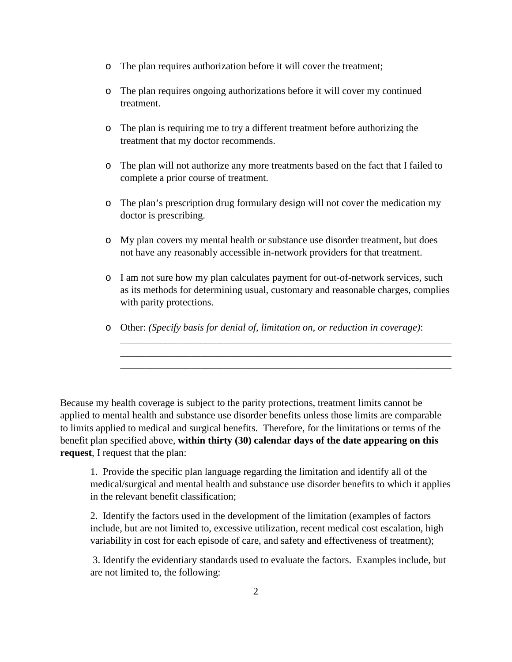- o The plan requires authorization before it will cover the treatment;
- o The plan requires ongoing authorizations before it will cover my continued treatment.
- o The plan is requiring me to try a different treatment before authorizing the treatment that my doctor recommends.
- o The plan will not authorize any more treatments based on the fact that I failed to complete a prior course of treatment.
- o The plan's prescription drug formulary design will not cover the medication my doctor is prescribing.
- o My plan covers my mental health or substance use disorder treatment, but does not have any reasonably accessible in-network providers for that treatment.
- o I am not sure how my plan calculates payment for out-of-network services, such as its methods for determining usual, customary and reasonable charges, complies with parity protections.

\_\_\_\_\_\_\_\_\_\_\_\_\_\_\_\_\_\_\_\_\_\_\_\_\_\_\_\_\_\_\_\_\_\_\_\_\_\_\_\_\_\_\_\_\_\_\_\_\_\_\_\_\_\_\_\_\_\_\_\_\_\_\_\_\_\_ \_\_\_\_\_\_\_\_\_\_\_\_\_\_\_\_\_\_\_\_\_\_\_\_\_\_\_\_\_\_\_\_\_\_\_\_\_\_\_\_\_\_\_\_\_\_\_\_\_\_\_\_\_\_\_\_\_\_\_\_\_\_\_\_\_\_ \_\_\_\_\_\_\_\_\_\_\_\_\_\_\_\_\_\_\_\_\_\_\_\_\_\_\_\_\_\_\_\_\_\_\_\_\_\_\_\_\_\_\_\_\_\_\_\_\_\_\_\_\_\_\_\_\_\_\_\_\_\_\_\_\_\_

o Other: *(Specify basis for denial of, limitation on, or reduction in coverage)*:

Because my health coverage is subject to the parity protections, treatment limits cannot be applied to mental health and substance use disorder benefits unless those limits are comparable to limits applied to medical and surgical benefits. Therefore, for the limitations or terms of the benefit plan specified above, **within thirty (30) calendar days of the date appearing on this request**, I request that the plan:

1. Provide the specific plan language regarding the limitation and identify all of the medical/surgical and mental health and substance use disorder benefits to which it applies in the relevant benefit classification;

2. Identify the factors used in the development of the limitation (examples of factors include, but are not limited to, excessive utilization, recent medical cost escalation, high variability in cost for each episode of care, and safety and effectiveness of treatment);

3. Identify the evidentiary standards used to evaluate the factors. Examples include, but are not limited to, the following: